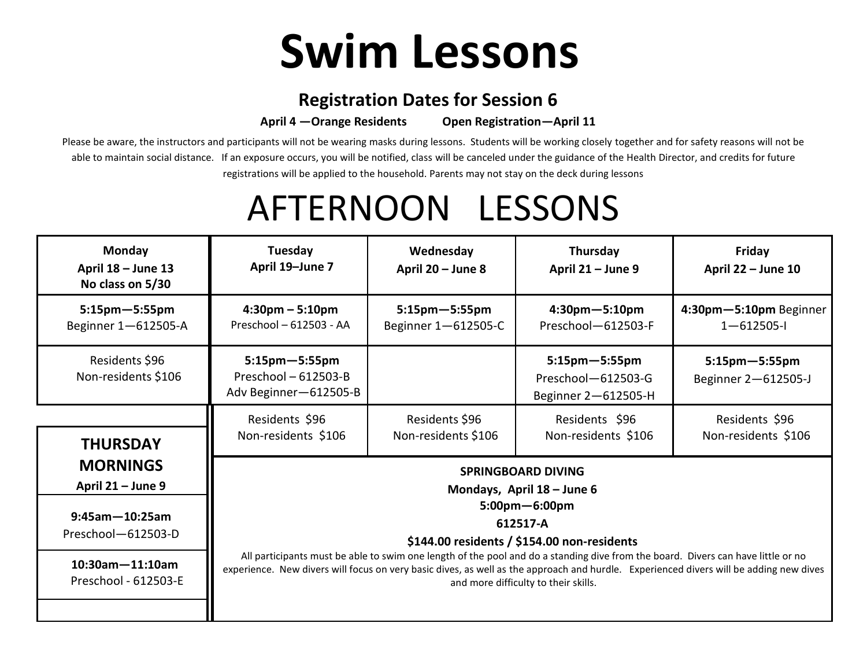## **Swim Lessons**

## **Registration Dates for Session 6**

**April 4 —Orange Residents Open Registration—April 11** 

Please be aware, the instructors and participants will not be wearing masks during lessons. Students will be working closely together and for safety reasons will not be able to maintain social distance. If an exposure occurs, you will be notified, class will be canceled under the guidance of the Health Director, and credits for future registrations will be applied to the household. Parents may not stay on the deck during lessons

## AFTERNOON LESSONS

| <b>Monday</b><br>April $18 -$ June 13<br>No class on 5/30                                                                             | Tuesday<br>April 19-June 7                                                                                                                                                                                                                                                                                                                                                                                                                                         | Wednesday<br>April 20 - June 8              | Thursday<br>April 21 - June 9                                     | Friday<br>April 22 - June 10                |  |
|---------------------------------------------------------------------------------------------------------------------------------------|--------------------------------------------------------------------------------------------------------------------------------------------------------------------------------------------------------------------------------------------------------------------------------------------------------------------------------------------------------------------------------------------------------------------------------------------------------------------|---------------------------------------------|-------------------------------------------------------------------|---------------------------------------------|--|
| $5:15$ pm $-5:55$ pm<br>Beginner 1-612505-A                                                                                           | $4:30pm - 5:10pm$<br>Preschool - 612503 - AA                                                                                                                                                                                                                                                                                                                                                                                                                       | $5:15$ pm $-5:55$ pm<br>Beginner 1-612505-C | $4:30$ pm $-5:10$ pm<br>Preschool-612503-F                        | 4:30pm-5:10pm Beginner<br>$1 - 612505 - 1$  |  |
| Residents \$96<br>Non-residents \$106                                                                                                 | $5:15$ pm $-5:55$ pm<br>Preschool $-612503 - B$<br>Adv Beginner-612505-B                                                                                                                                                                                                                                                                                                                                                                                           |                                             | $5:15$ pm $-5:55$ pm<br>Preschool-612503-G<br>Beginner 2-612505-H | $5:15$ pm $-5:55$ pm<br>Beginner 2-612505-J |  |
| <b>THURSDAY</b>                                                                                                                       | Residents \$96<br>Non-residents \$106                                                                                                                                                                                                                                                                                                                                                                                                                              | Residents \$96<br>Non-residents \$106       | Residents \$96<br>Non-residents \$106                             | Residents \$96<br>Non-residents \$106       |  |
| <b>MORNINGS</b><br>April 21 - June 9<br>$9:45$ am $-10:25$ am<br>Preschool-612503-D<br>$10:30$ am $-11:10$ am<br>Preschool - 612503-E | <b>SPRINGBOARD DIVING</b><br>Mondays, April $18 -$ June 6<br>$5:00$ pm $-6:00$ pm<br>612517-A<br>\$144.00 residents / \$154.00 non-residents<br>All participants must be able to swim one length of the pool and do a standing dive from the board. Divers can have little or no<br>experience. New divers will focus on very basic dives, as well as the approach and hurdle. Experienced divers will be adding new dives<br>and more difficulty to their skills. |                                             |                                                                   |                                             |  |